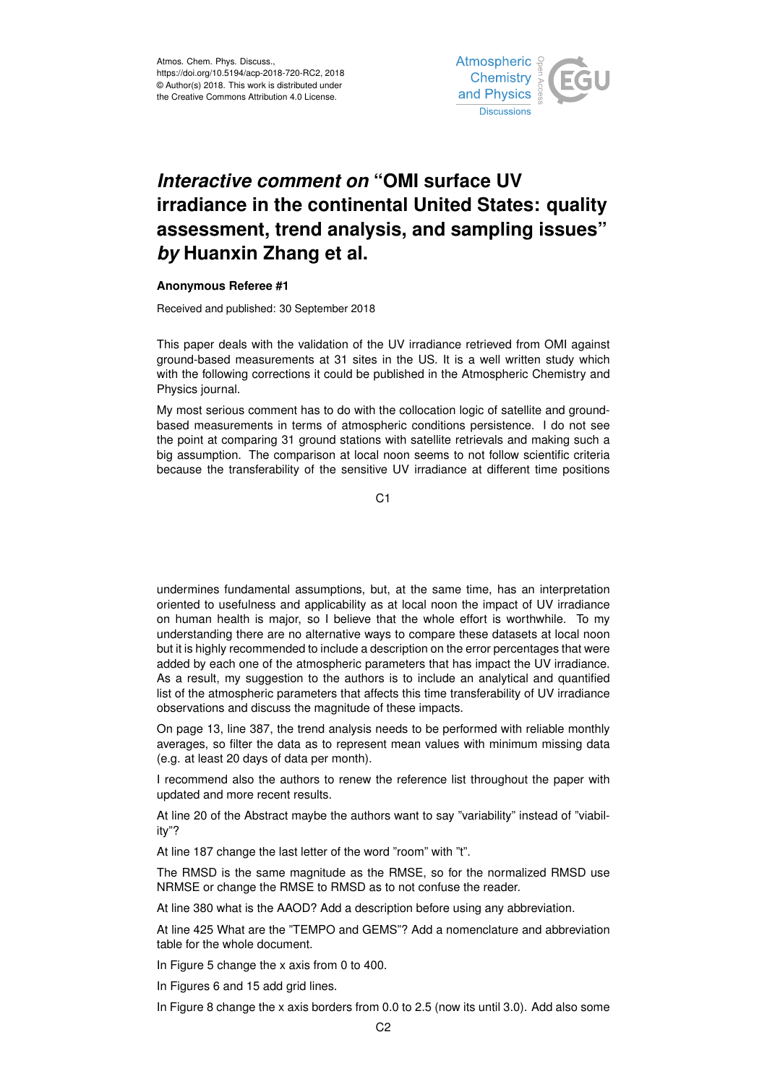

## *Interactive comment on* **"OMI surface UV irradiance in the continental United States: quality assessment, trend analysis, and sampling issues"** *by* **Huanxin Zhang et al.**

## **Anonymous Referee #1**

Received and published: 30 September 2018

This paper deals with the validation of the UV irradiance retrieved from OMI against ground-based measurements at 31 sites in the US. It is a well written study which with the following corrections it could be published in the Atmospheric Chemistry and Physics journal.

My most serious comment has to do with the collocation logic of satellite and groundbased measurements in terms of atmospheric conditions persistence. I do not see the point at comparing 31 ground stations with satellite retrievals and making such a big assumption. The comparison at local noon seems to not follow scientific criteria because the transferability of the sensitive UV irradiance at different time positions

 $C<sub>1</sub>$ 

undermines fundamental assumptions, but, at the same time, has an interpretation oriented to usefulness and applicability as at local noon the impact of UV irradiance on human health is major, so I believe that the whole effort is worthwhile. To my understanding there are no alternative ways to compare these datasets at local noon but it is highly recommended to include a description on the error percentages that were added by each one of the atmospheric parameters that has impact the UV irradiance. As a result, my suggestion to the authors is to include an analytical and quantified list of the atmospheric parameters that affects this time transferability of UV irradiance observations and discuss the magnitude of these impacts.

On page 13, line 387, the trend analysis needs to be performed with reliable monthly averages, so filter the data as to represent mean values with minimum missing data (e.g. at least 20 days of data per month).

I recommend also the authors to renew the reference list throughout the paper with updated and more recent results.

At line 20 of the Abstract maybe the authors want to say "variability" instead of "viability"?

At line 187 change the last letter of the word "room" with "t".

The RMSD is the same magnitude as the RMSE, so for the normalized RMSD use NRMSE or change the RMSE to RMSD as to not confuse the reader.

At line 380 what is the AAOD? Add a description before using any abbreviation.

At line 425 What are the "TEMPO and GEMS"? Add a nomenclature and abbreviation table for the whole document.

In Figure 5 change the x axis from 0 to 400.

In Figures 6 and 15 add grid lines.

In Figure 8 change the x axis borders from 0.0 to 2.5 (now its until 3.0). Add also some